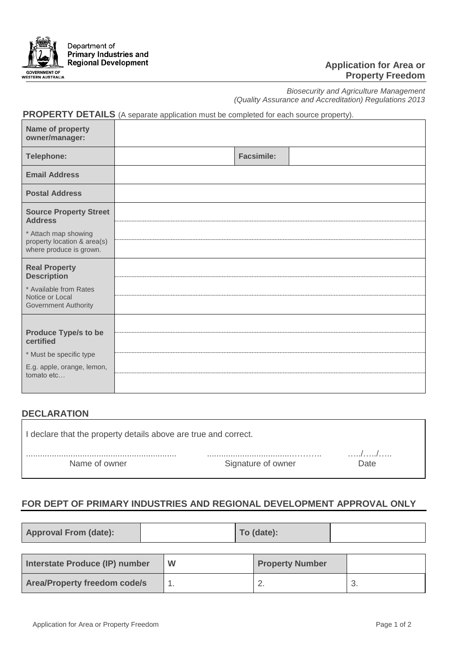

#### **Application for Area or Property Freedom**

 $\overline{\phantom{0}}$ 

٦

*Biosecurity and Agriculture Management (Quality Assurance and Accreditation) Regulations 2013*

# **PROPERTY DETAILS** (A separate application must be completed for each source property).

| Name of property<br>owner/manager:                                                                              |                   |
|-----------------------------------------------------------------------------------------------------------------|-------------------|
| Telephone:                                                                                                      | <b>Facsimile:</b> |
| <b>Email Address</b>                                                                                            |                   |
| <b>Postal Address</b>                                                                                           |                   |
| <b>Source Property Street</b><br><b>Address</b>                                                                 |                   |
| * Attach map showing<br>property location & area(s)<br>where produce is grown.                                  |                   |
| <b>Real Property</b><br><b>Description</b>                                                                      |                   |
| * Available from Rates<br>Notice or Local<br><b>Government Authority</b>                                        |                   |
| <b>Produce Type/s to be</b><br>certified<br>* Must be specific type<br>E.g. apple, orange, lemon,<br>tomato etc |                   |

### **DECLARATION**

| I declare that the property details above are true and correct. |                    |           |  |
|-----------------------------------------------------------------|--------------------|-----------|--|
| Name of owner                                                   | Signature of owner | .<br>Date |  |

### **FOR DEPT OF PRIMARY INDUSTRIES AND REGIONAL DEVELOPMENT APPROVAL ONLY**

|--|

| Interstate Produce (IP) number      | W | <b>Property Number</b> |    |
|-------------------------------------|---|------------------------|----|
| <b>Area/Property freedom code/s</b> |   | <u>.</u>               | J. |